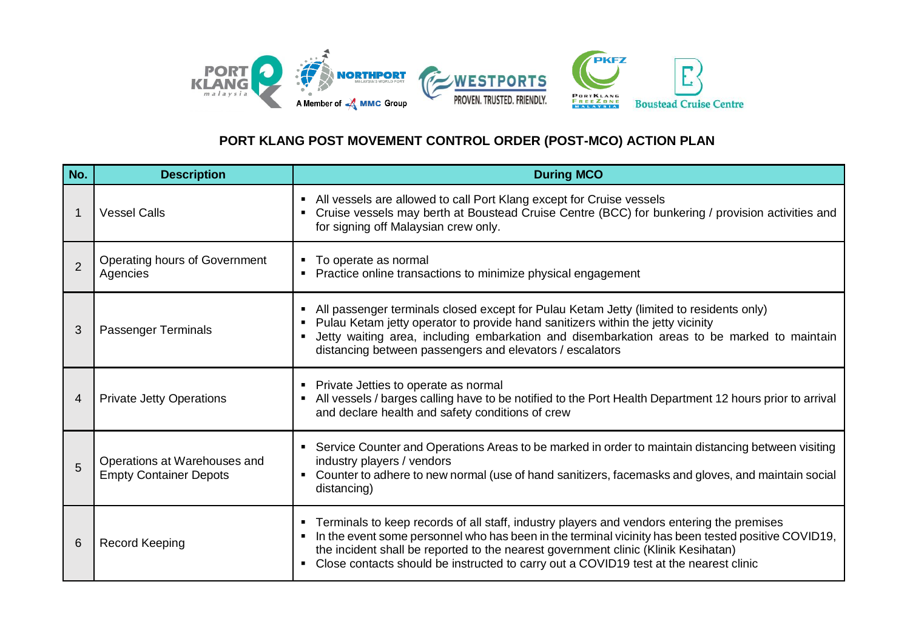

## **PORT KLANG POST MOVEMENT CONTROL ORDER (POST-MCO) ACTION PLAN**

| No.            | <b>Description</b>                                            | <b>During MCO</b>                                                                                                                                                                                                                                                                                                                                                                  |
|----------------|---------------------------------------------------------------|------------------------------------------------------------------------------------------------------------------------------------------------------------------------------------------------------------------------------------------------------------------------------------------------------------------------------------------------------------------------------------|
|                | <b>Vessel Calls</b>                                           | • All vessels are allowed to call Port Klang except for Cruise vessels<br>Cruise vessels may berth at Boustead Cruise Centre (BCC) for bunkering / provision activities and<br>for signing off Malaysian crew only.                                                                                                                                                                |
| $\overline{2}$ | Operating hours of Government<br>Agencies                     | • To operate as normal<br>Practice online transactions to minimize physical engagement                                                                                                                                                                                                                                                                                             |
| 3              | <b>Passenger Terminals</b>                                    | All passenger terminals closed except for Pulau Ketam Jetty (limited to residents only)<br>Pulau Ketam jetty operator to provide hand sanitizers within the jetty vicinity<br>Jetty waiting area, including embarkation and disembarkation areas to be marked to maintain<br>distancing between passengers and elevators / escalators                                              |
| 4              | <b>Private Jetty Operations</b>                               | • Private Jetties to operate as normal<br>All vessels / barges calling have to be notified to the Port Health Department 12 hours prior to arrival<br>and declare health and safety conditions of crew                                                                                                                                                                             |
| 5              | Operations at Warehouses and<br><b>Empty Container Depots</b> | • Service Counter and Operations Areas to be marked in order to maintain distancing between visiting<br>industry players / vendors<br>Counter to adhere to new normal (use of hand sanitizers, facemasks and gloves, and maintain social<br>distancing)                                                                                                                            |
| 6              | <b>Record Keeping</b>                                         | • Terminals to keep records of all staff, industry players and vendors entering the premises<br>In the event some personnel who has been in the terminal vicinity has been tested positive COVID19,<br>the incident shall be reported to the nearest government clinic (Klinik Kesihatan)<br>Close contacts should be instructed to carry out a COVID19 test at the nearest clinic |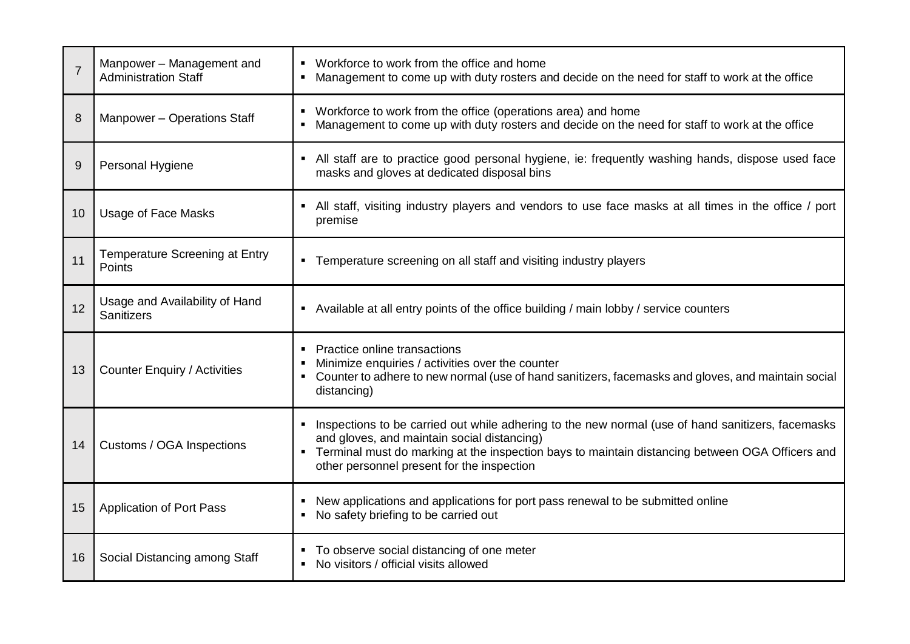| $\overline{7}$ | Manpower - Management and<br><b>Administration Staff</b> | • Workforce to work from the office and home<br>Management to come up with duty rosters and decide on the need for staff to work at the office                                                                                                                                                                        |
|----------------|----------------------------------------------------------|-----------------------------------------------------------------------------------------------------------------------------------------------------------------------------------------------------------------------------------------------------------------------------------------------------------------------|
| 8              | Manpower - Operations Staff                              | Workforce to work from the office (operations area) and home<br>• Management to come up with duty rosters and decide on the need for staff to work at the office                                                                                                                                                      |
| 9              | Personal Hygiene                                         | • All staff are to practice good personal hygiene, ie: frequently washing hands, dispose used face<br>masks and gloves at dedicated disposal bins                                                                                                                                                                     |
| 10             | <b>Usage of Face Masks</b>                               | • All staff, visiting industry players and vendors to use face masks at all times in the office / port<br>premise                                                                                                                                                                                                     |
| 11             | <b>Temperature Screening at Entry</b><br>Points          | • Temperature screening on all staff and visiting industry players                                                                                                                                                                                                                                                    |
| 12             | Usage and Availability of Hand<br><b>Sanitizers</b>      | • Available at all entry points of the office building / main lobby / service counters                                                                                                                                                                                                                                |
| 13             | <b>Counter Enquiry / Activities</b>                      | Practice online transactions<br>Minimize enquiries / activities over the counter<br>• Counter to adhere to new normal (use of hand sanitizers, facemasks and gloves, and maintain social<br>distancing)                                                                                                               |
| 14             | Customs / OGA Inspections                                | Inspections to be carried out while adhering to the new normal (use of hand sanitizers, facemasks<br>$\blacksquare$<br>and gloves, and maintain social distancing)<br>• Terminal must do marking at the inspection bays to maintain distancing between OGA Officers and<br>other personnel present for the inspection |
| 15             | <b>Application of Port Pass</b>                          | New applications and applications for port pass renewal to be submitted online<br>No safety briefing to be carried out                                                                                                                                                                                                |
| 16             | Social Distancing among Staff                            | • To observe social distancing of one meter<br>No visitors / official visits allowed                                                                                                                                                                                                                                  |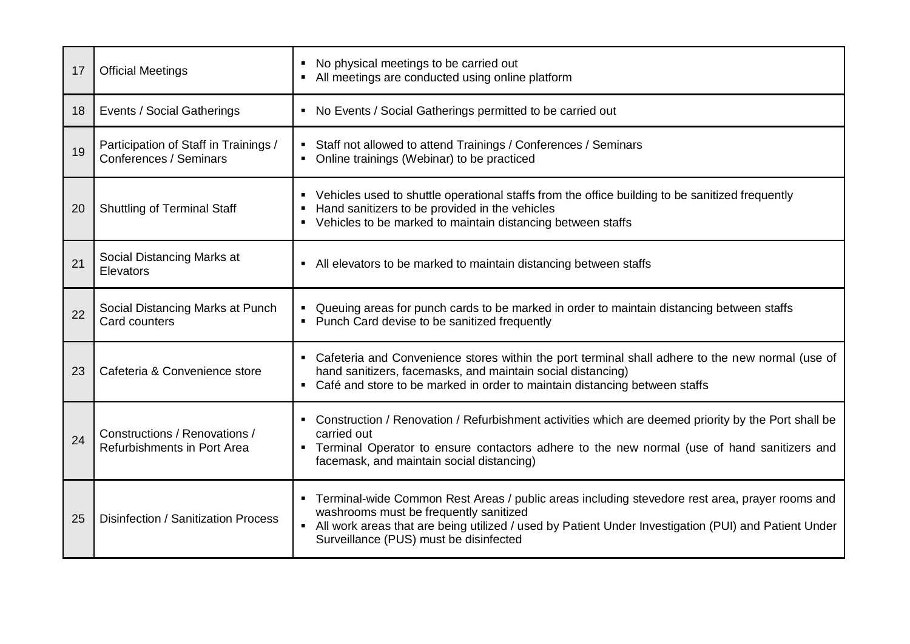| 17 | <b>Official Meetings</b>                                        | No physical meetings to be carried out<br>• All meetings are conducted using online platform                                                                                                                                                                                                   |
|----|-----------------------------------------------------------------|------------------------------------------------------------------------------------------------------------------------------------------------------------------------------------------------------------------------------------------------------------------------------------------------|
| 18 | <b>Events / Social Gatherings</b>                               | • No Events / Social Gatherings permitted to be carried out                                                                                                                                                                                                                                    |
| 19 | Participation of Staff in Trainings /<br>Conferences / Seminars | • Staff not allowed to attend Trainings / Conferences / Seminars<br>• Online trainings (Webinar) to be practiced                                                                                                                                                                               |
| 20 | <b>Shuttling of Terminal Staff</b>                              | • Vehicles used to shuttle operational staffs from the office building to be sanitized frequently<br>Hand sanitizers to be provided in the vehicles<br>٠<br>• Vehicles to be marked to maintain distancing between staffs                                                                      |
| 21 | Social Distancing Marks at<br>Elevators                         | • All elevators to be marked to maintain distancing between staffs                                                                                                                                                                                                                             |
| 22 | Social Distancing Marks at Punch<br>Card counters               | Queuing areas for punch cards to be marked in order to maintain distancing between staffs<br>$\blacksquare$<br>Punch Card devise to be sanitized frequently<br>٠                                                                                                                               |
| 23 | Cafeteria & Convenience store                                   | • Cafeteria and Convenience stores within the port terminal shall adhere to the new normal (use of<br>hand sanitizers, facemasks, and maintain social distancing)<br>• Café and store to be marked in order to maintain distancing between staffs                                              |
| 24 | Constructions / Renovations /<br>Refurbishments in Port Area    | • Construction / Renovation / Refurbishment activities which are deemed priority by the Port shall be<br>carried out<br>• Terminal Operator to ensure contactors adhere to the new normal (use of hand sanitizers and<br>facemask, and maintain social distancing)                             |
| 25 | Disinfection / Sanitization Process                             | • Terminal-wide Common Rest Areas / public areas including stevedore rest area, prayer rooms and<br>washrooms must be frequently sanitized<br>• All work areas that are being utilized / used by Patient Under Investigation (PUI) and Patient Under<br>Surveillance (PUS) must be disinfected |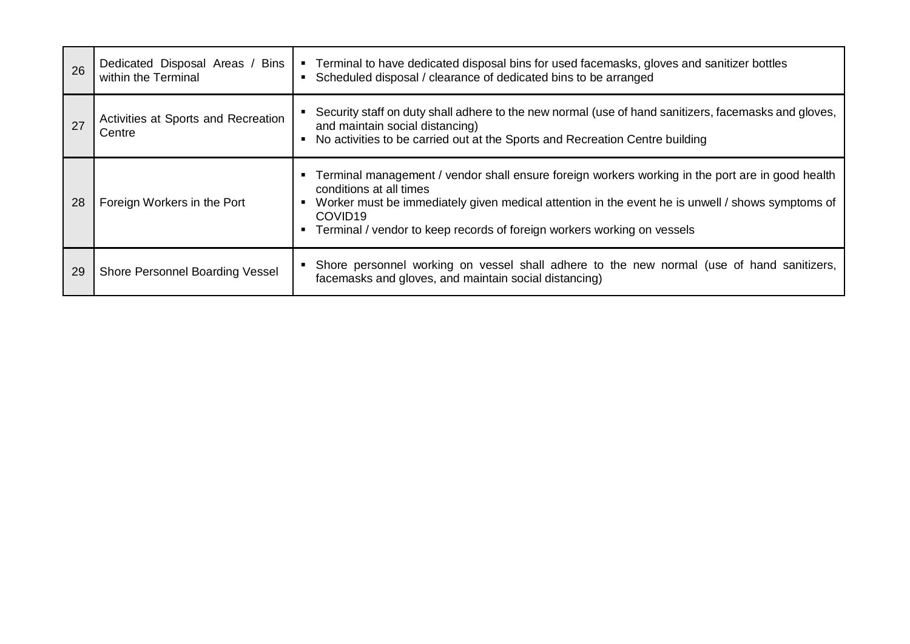| 26 | Dedicated Disposal Areas / Bins<br>within the Terminal | • Terminal to have dedicated disposal bins for used facemasks, gloves and sanitizer bottles<br>• Scheduled disposal / clearance of dedicated bins to be arranged                                                                                                                                                                                         |
|----|--------------------------------------------------------|----------------------------------------------------------------------------------------------------------------------------------------------------------------------------------------------------------------------------------------------------------------------------------------------------------------------------------------------------------|
| 27 | Activities at Sports and Recreation<br>Centre          | Security staff on duty shall adhere to the new normal (use of hand sanitizers, facemasks and gloves,<br>and maintain social distancing)<br>No activities to be carried out at the Sports and Recreation Centre building<br>$\blacksquare$                                                                                                                |
| 28 | Foreign Workers in the Port                            | Terminal management / vendor shall ensure foreign workers working in the port are in good health<br>conditions at all times<br>Worker must be immediately given medical attention in the event he is unwell / shows symptoms of<br>$\blacksquare$<br>COVID <sub>19</sub><br>Terminal / vendor to keep records of foreign workers working on vessels<br>٠ |
| 29 | Shore Personnel Boarding Vessel                        | Shore personnel working on vessel shall adhere to the new normal (use of hand sanitizers,<br>facemasks and gloves, and maintain social distancing)                                                                                                                                                                                                       |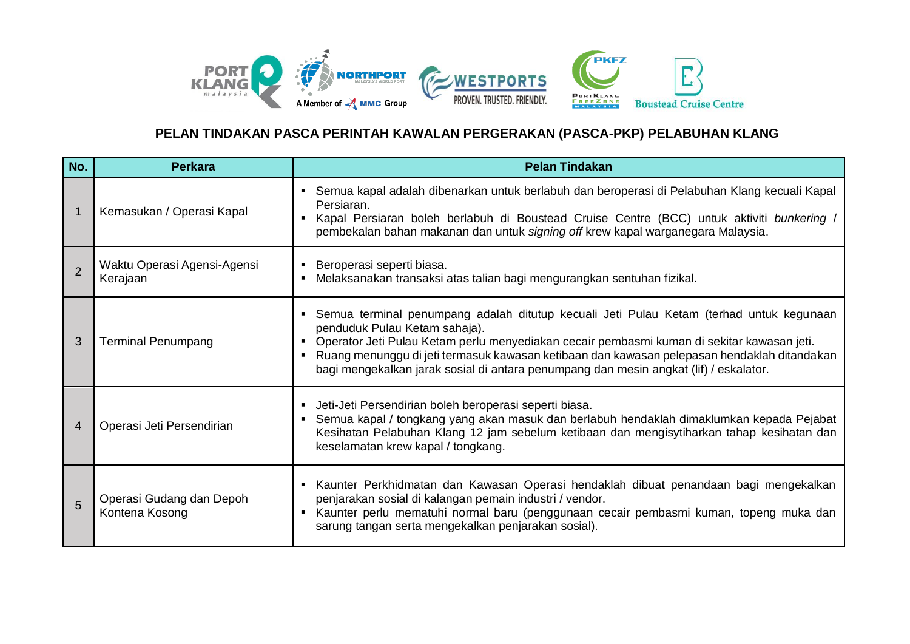

## **PELAN TINDAKAN PASCA PERINTAH KAWALAN PERGERAKAN (PASCA-PKP) PELABUHAN KLANG**

| No.            | <b>Perkara</b>                             | <b>Pelan Tindakan</b>                                                                                                                                                                                                                                                                                                                                                                                          |
|----------------|--------------------------------------------|----------------------------------------------------------------------------------------------------------------------------------------------------------------------------------------------------------------------------------------------------------------------------------------------------------------------------------------------------------------------------------------------------------------|
| $\mathbf{1}$   | Kemasukan / Operasi Kapal                  | Semua kapal adalah dibenarkan untuk berlabuh dan beroperasi di Pelabuhan Klang kecuali Kapal<br>Persiaran.<br>Kapal Persiaran boleh berlabuh di Boustead Cruise Centre (BCC) untuk aktiviti bunkering /<br>$\blacksquare$<br>pembekalan bahan makanan dan untuk signing off krew kapal warganegara Malaysia.                                                                                                   |
| $\overline{2}$ | Waktu Operasi Agensi-Agensi<br>Kerajaan    | Beroperasi seperti biasa.<br>Melaksanakan transaksi atas talian bagi mengurangkan sentuhan fizikal.                                                                                                                                                                                                                                                                                                            |
| 3              | <b>Terminal Penumpang</b>                  | Semua terminal penumpang adalah ditutup kecuali Jeti Pulau Ketam (terhad untuk kegunaan<br>penduduk Pulau Ketam sahaja).<br>Operator Jeti Pulau Ketam perlu menyediakan cecair pembasmi kuman di sekitar kawasan jeti.<br>Ruang menunggu di jeti termasuk kawasan ketibaan dan kawasan pelepasan hendaklah ditandakan<br>bagi mengekalkan jarak sosial di antara penumpang dan mesin angkat (lif) / eskalator. |
| 4              | Operasi Jeti Persendirian                  | Jeti-Jeti Persendirian boleh beroperasi seperti biasa.<br>Semua kapal / tongkang yang akan masuk dan berlabuh hendaklah dimaklumkan kepada Pejabat<br>Kesihatan Pelabuhan Klang 12 jam sebelum ketibaan dan mengisytiharkan tahap kesihatan dan<br>keselamatan krew kapal / tongkang.                                                                                                                          |
| 5              | Operasi Gudang dan Depoh<br>Kontena Kosong | Kaunter Perkhidmatan dan Kawasan Operasi hendaklah dibuat penandaan bagi mengekalkan<br>penjarakan sosial di kalangan pemain industri / vendor.<br>Kaunter perlu mematuhi normal baru (penggunaan cecair pembasmi kuman, topeng muka dan<br>sarung tangan serta mengekalkan penjarakan sosial).                                                                                                                |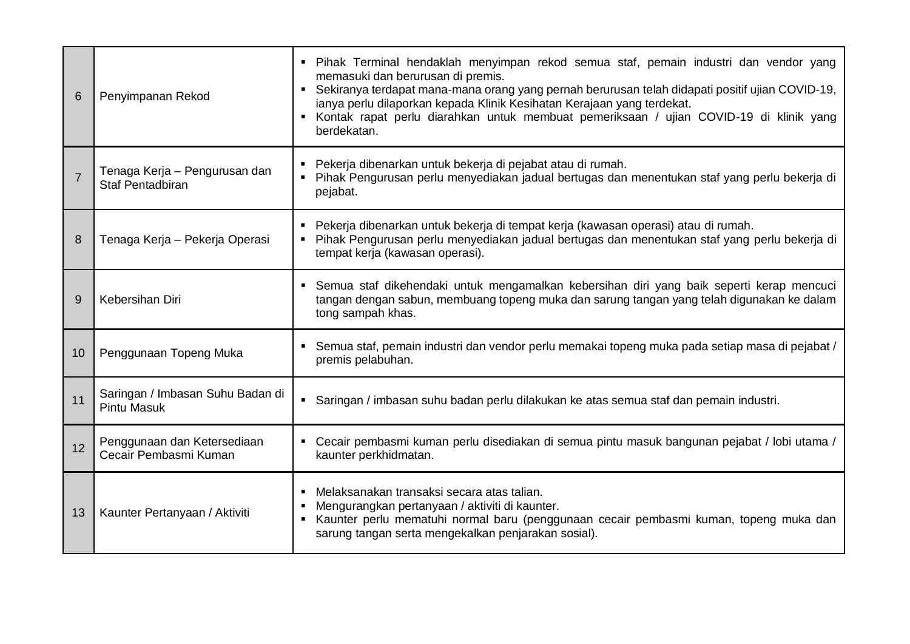| 6              | Penyimpanan Rekod                                        | · Pihak Terminal hendaklah menyimpan rekod semua staf, pemain industri dan vendor yang<br>memasuki dan berurusan di premis.<br>• Sekiranya terdapat mana-mana orang yang pernah berurusan telah didapati positif ujian COVID-19,<br>ianya perlu dilaporkan kepada Klinik Kesihatan Kerajaan yang terdekat.<br>Kontak rapat perlu diarahkan untuk membuat pemeriksaan / ujian COVID-19 di klinik yang<br>berdekatan. |
|----------------|----------------------------------------------------------|---------------------------------------------------------------------------------------------------------------------------------------------------------------------------------------------------------------------------------------------------------------------------------------------------------------------------------------------------------------------------------------------------------------------|
| $\overline{7}$ | Tenaga Kerja - Pengurusan dan<br><b>Staf Pentadbiran</b> | " Pekerja dibenarkan untuk bekerja di pejabat atau di rumah.<br>" Pihak Pengurusan perlu menyediakan jadual bertugas dan menentukan staf yang perlu bekerja di<br>pejabat.                                                                                                                                                                                                                                          |
| 8              | Tenaga Kerja - Pekerja Operasi                           | • Pekerja dibenarkan untuk bekerja di tempat kerja (kawasan operasi) atau di rumah.<br>• Pihak Pengurusan perlu menyediakan jadual bertugas dan menentukan staf yang perlu bekerja di<br>tempat kerja (kawasan operasi).                                                                                                                                                                                            |
| 9              | Kebersihan Diri                                          | • Semua staf dikehendaki untuk mengamalkan kebersihan diri yang baik seperti kerap mencuci<br>tangan dengan sabun, membuang topeng muka dan sarung tangan yang telah digunakan ke dalam<br>tong sampah khas.                                                                                                                                                                                                        |
| 10             | Penggunaan Topeng Muka                                   | Semua staf, pemain industri dan vendor perlu memakai topeng muka pada setiap masa di pejabat /<br>premis pelabuhan.                                                                                                                                                                                                                                                                                                 |
| 11             | Saringan / Imbasan Suhu Badan di<br><b>Pintu Masuk</b>   | • Saringan / imbasan suhu badan perlu dilakukan ke atas semua staf dan pemain industri.                                                                                                                                                                                                                                                                                                                             |
| 12             | Penggunaan dan Ketersediaan<br>Cecair Pembasmi Kuman     | • Cecair pembasmi kuman perlu disediakan di semua pintu masuk bangunan pejabat / lobi utama /<br>kaunter perkhidmatan.                                                                                                                                                                                                                                                                                              |
| 13             | Kaunter Pertanyaan / Aktiviti                            | • Melaksanakan transaksi secara atas talian.<br>Mengurangkan pertanyaan / aktiviti di kaunter.<br>Kaunter perlu mematuhi normal baru (penggunaan cecair pembasmi kuman, topeng muka dan<br>sarung tangan serta mengekalkan penjarakan sosial).                                                                                                                                                                      |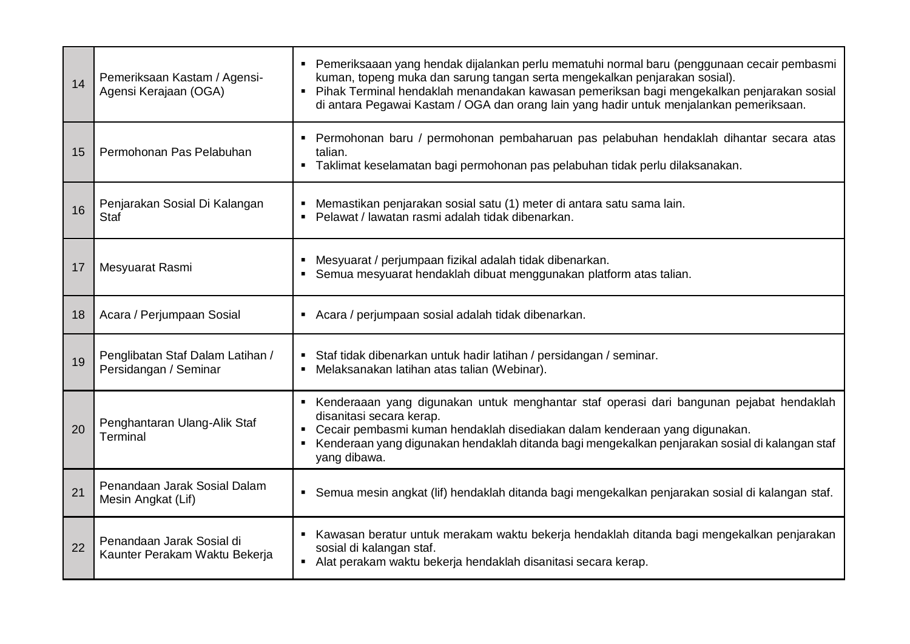| 14 | Pemeriksaan Kastam / Agensi-<br>Agensi Kerajaan (OGA)      | ■ Pemeriksaaan yang hendak dijalankan perlu mematuhi normal baru (penggunaan cecair pembasmi<br>kuman, topeng muka dan sarung tangan serta mengekalkan penjarakan sosial).<br>• Pihak Terminal hendaklah menandakan kawasan pemeriksan bagi mengekalkan penjarakan sosial<br>di antara Pegawai Kastam / OGA dan orang lain yang hadir untuk menjalankan pemeriksaan. |
|----|------------------------------------------------------------|----------------------------------------------------------------------------------------------------------------------------------------------------------------------------------------------------------------------------------------------------------------------------------------------------------------------------------------------------------------------|
| 15 | Permohonan Pas Pelabuhan                                   | • Permohonan baru / permohonan pembaharuan pas pelabuhan hendaklah dihantar secara atas<br>talian.<br>" Taklimat keselamatan bagi permohonan pas pelabuhan tidak perlu dilaksanakan.                                                                                                                                                                                 |
| 16 | Penjarakan Sosial Di Kalangan<br><b>Staf</b>               | Memastikan penjarakan sosial satu (1) meter di antara satu sama lain.<br>Pelawat / lawatan rasmi adalah tidak dibenarkan.<br>$\blacksquare$                                                                                                                                                                                                                          |
| 17 | Mesyuarat Rasmi                                            | Mesyuarat / perjumpaan fizikal adalah tidak dibenarkan.<br>Semua mesyuarat hendaklah dibuat menggunakan platform atas talian.<br>٠                                                                                                                                                                                                                                   |
| 18 | Acara / Perjumpaan Sosial                                  | Acara / perjumpaan sosial adalah tidak dibenarkan.                                                                                                                                                                                                                                                                                                                   |
| 19 | Penglibatan Staf Dalam Latihan /<br>Persidangan / Seminar  | Staf tidak dibenarkan untuk hadir latihan / persidangan / seminar.<br>• Melaksanakan latihan atas talian (Webinar).                                                                                                                                                                                                                                                  |
| 20 | Penghantaran Ulang-Alik Staf<br>Terminal                   | Kenderaaan yang digunakan untuk menghantar staf operasi dari bangunan pejabat hendaklah<br>disanitasi secara kerap.<br>• Cecair pembasmi kuman hendaklah disediakan dalam kenderaan yang digunakan.<br>Kenderaan yang digunakan hendaklah ditanda bagi mengekalkan penjarakan sosial di kalangan staf<br>yang dibawa.                                                |
| 21 | Penandaan Jarak Sosial Dalam<br>Mesin Angkat (Lif)         | • Semua mesin angkat (lif) hendaklah ditanda bagi mengekalkan penjarakan sosial di kalangan staf.                                                                                                                                                                                                                                                                    |
| 22 | Penandaan Jarak Sosial di<br>Kaunter Perakam Waktu Bekerja | ■ Kawasan beratur untuk merakam waktu bekerja hendaklah ditanda bagi mengekalkan penjarakan<br>sosial di kalangan staf.<br>Alat perakam waktu bekerja hendaklah disanitasi secara kerap.                                                                                                                                                                             |